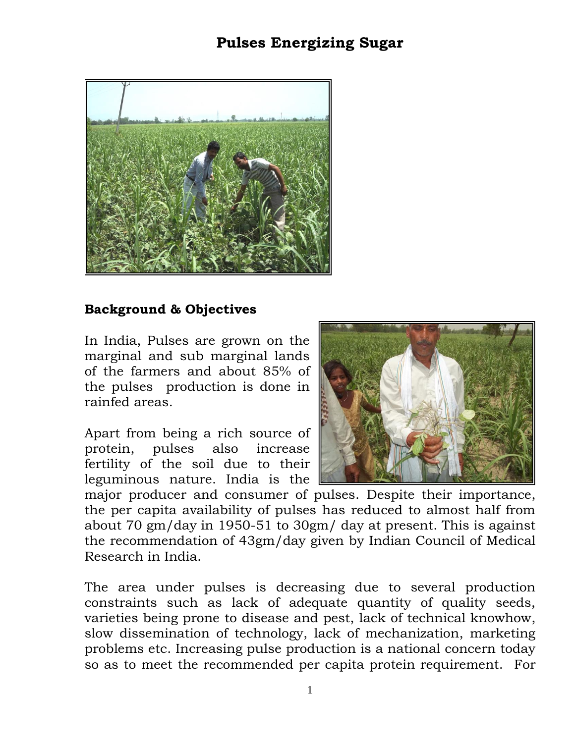## **Pulses Energizing Sugar**



## **Background & Objectives**

In India, Pulses are grown on the marginal and sub marginal lands of the farmers and about 85% of the pulses production is done in rainfed areas.

Apart from being a rich source of protein, pulses also increase fertility of the soil due to their leguminous nature. India is the



major producer and consumer of pulses. Despite their importance, the per capita availability of pulses has reduced to almost half from about 70 gm/day in 1950-51 to 30gm/ day at present. This is against the recommendation of 43gm/day given by Indian Council of Medical Research in India.

The area under pulses is decreasing due to several production constraints such as lack of adequate quantity of quality seeds, varieties being prone to disease and pest, lack of technical knowhow, slow dissemination of technology, lack of mechanization, marketing problems etc. Increasing pulse production is a national concern today so as to meet the recommended per capita protein requirement. For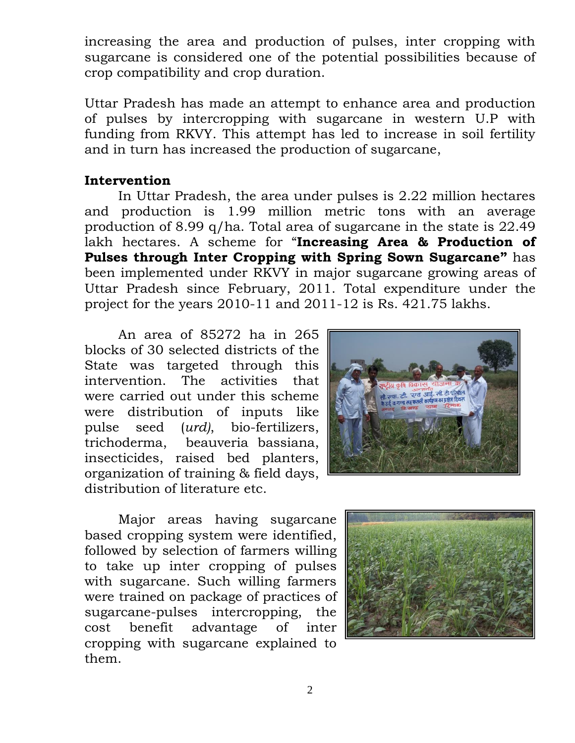increasing the area and production of pulses, inter cropping with sugarcane is considered one of the potential possibilities because of crop compatibility and crop duration.

Uttar Pradesh has made an attempt to enhance area and production of pulses by intercropping with sugarcane in western U.P with funding from RKVY. This attempt has led to increase in soil fertility and in turn has increased the production of sugarcane,

## **Intervention**

In Uttar Pradesh, the area under pulses is 2.22 million hectares and production is 1.99 million metric tons with an average production of 8.99 q/ha. Total area of sugarcane in the state is 22.49 lakh hectares. A scheme for "**Increasing Area & Production of Pulses through Inter Cropping with Spring Sown Sugarcane"** has been implemented under RKVY in major sugarcane growing areas of Uttar Pradesh since February, 2011. Total expenditure under the project for the years 2010-11 and 2011-12 is Rs. 421.75 lakhs.

An area of 85272 ha in 265 blocks of 30 selected districts of the State was targeted through this intervention. The activities that were carried out under this scheme were distribution of inputs like pulse seed (*urd)*, bio-fertilizers, trichoderma, beauveria bassiana, insecticides, raised bed planters, organization of training & field days, distribution of literature etc.



Major areas having sugarcane based cropping system were identified, followed by selection of farmers willing to take up inter cropping of pulses with sugarcane. Such willing farmers were trained on package of practices of sugarcane-pulses intercropping, the cost benefit advantage of inter cropping with sugarcane explained to them.